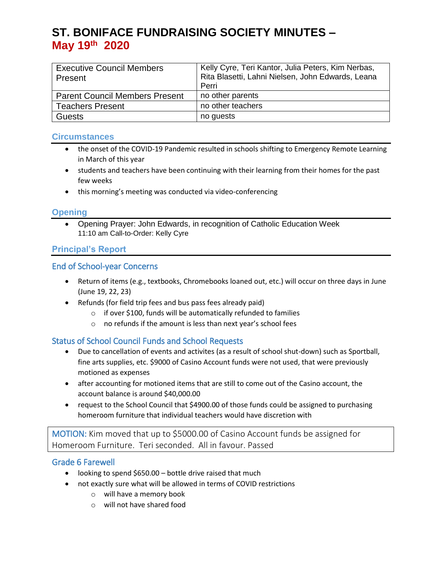# **ST. BONIFACE FUNDRAISING SOCIETY MINUTES – May 19 th 2020**

| <b>Executive Council Members</b><br>Present | Kelly Cyre, Teri Kantor, Julia Peters, Kim Nerbas,<br>Rita Blasetti, Lahni Nielsen, John Edwards, Leana<br>Perri |
|---------------------------------------------|------------------------------------------------------------------------------------------------------------------|
| <b>Parent Council Members Present</b>       | no other parents                                                                                                 |
| <b>Teachers Present</b>                     | no other teachers                                                                                                |
| <b>Guests</b>                               | no guests                                                                                                        |

#### **Circumstances**

- the onset of the COVID-19 Pandemic resulted in schools shifting to Emergency Remote Learning in March of this year
- students and teachers have been continuing with their learning from their homes for the past few weeks
- this morning's meeting was conducted via video-conferencing

## **Opening**

 Opening Prayer: John Edwards, in recognition of Catholic Education Week 11:10 am Call-to-Order: Kelly Cyre

## **Principal's Report**

## End of School-year Concerns

- Return of items (e.g., textbooks, Chromebooks loaned out, etc.) will occur on three days in June (June 19, 22, 23)
- Refunds (for field trip fees and bus pass fees already paid)
	- $\circ$  if over \$100, funds will be automatically refunded to families
	- o no refunds if the amount is less than next year's school fees

## Status of School Council Funds and School Requests

- Due to cancellation of events and activites (as a result of school shut-down) such as Sportball, fine arts supplies, etc. \$9000 of Casino Account funds were not used, that were previously motioned as expenses
- after accounting for motioned items that are still to come out of the Casino account, the account balance is around \$40,000.00
- request to the School Council that \$4900.00 of those funds could be assigned to purchasing homeroom furniture that individual teachers would have discretion with

MOTION: Kim moved that up to \$5000.00 of Casino Account funds be assigned for Homeroom Furniture. Teri seconded. All in favour. Passed

#### Grade 6 Farewell

- looking to spend \$650.00 bottle drive raised that much
- not exactly sure what will be allowed in terms of COVID restrictions
	- o will have a memory book
	- o will not have shared food